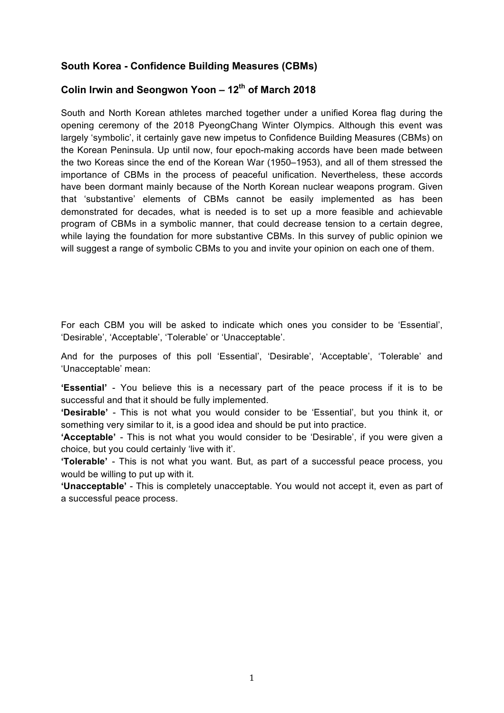## **South Korea - Confidence Building Measures (CBMs)**

# **Colin Irwin and Seongwon Yoon – 12th of March 2018**

South and North Korean athletes marched together under a unified Korea flag during the opening ceremony of the 2018 PyeongChang Winter Olympics. Although this event was largely 'symbolic', it certainly gave new impetus to Confidence Building Measures (CBMs) on the Korean Peninsula. Up until now, four epoch-making accords have been made between the two Koreas since the end of the Korean War (1950–1953), and all of them stressed the importance of CBMs in the process of peaceful unification. Nevertheless, these accords have been dormant mainly because of the North Korean nuclear weapons program. Given that 'substantive' elements of CBMs cannot be easily implemented as has been demonstrated for decades, what is needed is to set up a more feasible and achievable program of CBMs in a symbolic manner, that could decrease tension to a certain degree, while laying the foundation for more substantive CBMs. In this survey of public opinion we will suggest a range of symbolic CBMs to you and invite your opinion on each one of them.

For each CBM you will be asked to indicate which ones you consider to be 'Essential', 'Desirable', 'Acceptable', 'Tolerable' or 'Unacceptable'.

And for the purposes of this poll 'Essential', 'Desirable', 'Acceptable', 'Tolerable' and 'Unacceptable' mean:

**'Essential'** - You believe this is a necessary part of the peace process if it is to be successful and that it should be fully implemented.

**'Desirable'** - This is not what you would consider to be 'Essential', but you think it, or something very similar to it, is a good idea and should be put into practice.

**'Acceptable'** - This is not what you would consider to be 'Desirable', if you were given a choice, but you could certainly 'live with it'.

**'Tolerable'** - This is not what you want. But, as part of a successful peace process, you would be willing to put up with it.

**'Unacceptable'** - This is completely unacceptable. You would not accept it, even as part of a successful peace process.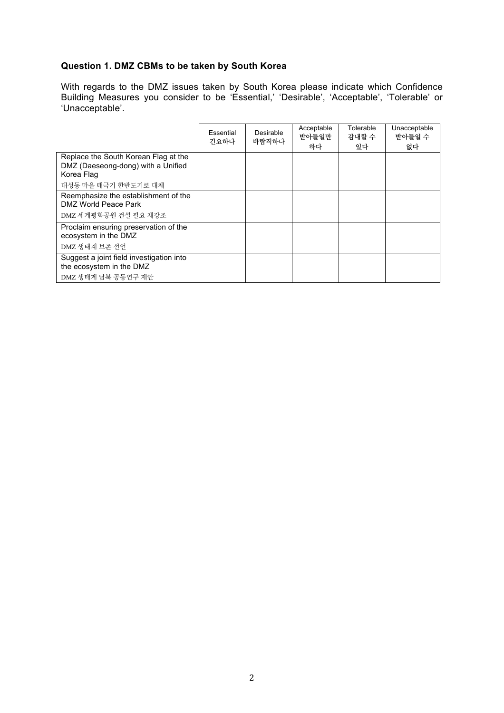# **Question 1. DMZ CBMs to be taken by South Korea**

With regards to the DMZ issues taken by South Korea please indicate which Confidence Building Measures you consider to be 'Essential,' 'Desirable', 'Acceptable', 'Tolerable' or 'Unacceptable'.

|                                                                                            | Essential<br>긴요하다 | Desirable<br>바람직하다 | Acceptable<br>받아들일만<br>하다 | Tolerable<br>감내할 수<br>있다 | Unacceptable<br>받아들일 수<br>없다 |
|--------------------------------------------------------------------------------------------|-------------------|--------------------|---------------------------|--------------------------|------------------------------|
| Replace the South Korean Flag at the<br>DMZ (Daeseong-dong) with a Unified<br>Korea Flag   |                   |                    |                           |                          |                              |
| 대성동 마을 태극기 한반도기로 대체                                                                        |                   |                    |                           |                          |                              |
| Reemphasize the establishment of the<br>DMZ World Peace Park                               |                   |                    |                           |                          |                              |
| DMZ 세계평화공원 건설 필요 재강조                                                                       |                   |                    |                           |                          |                              |
| Proclaim ensuring preservation of the<br>ecosystem in the DMZ<br>DMZ 생태계 보존 선언             |                   |                    |                           |                          |                              |
|                                                                                            |                   |                    |                           |                          |                              |
| Suggest a joint field investigation into<br>the ecosystem in the DMZ<br>DMZ 생태계 남북 공동연구 제안 |                   |                    |                           |                          |                              |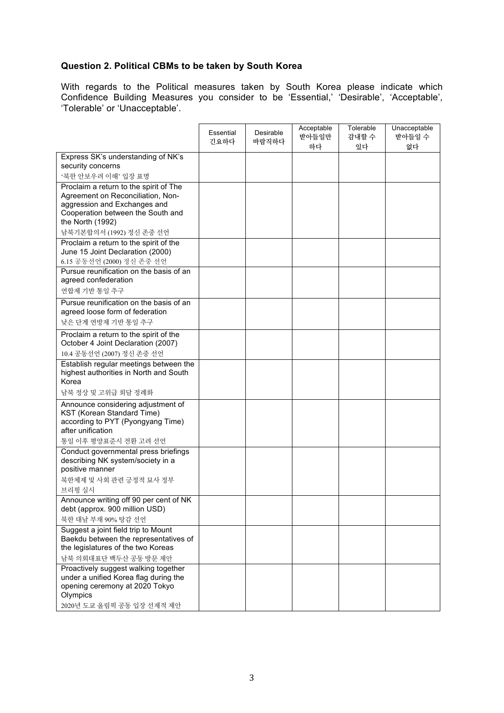# **Question 2. Political CBMs to be taken by South Korea**

With regards to the Political measures taken by South Korea please indicate which Confidence Building Measures you consider to be 'Essential,' 'Desirable', 'Acceptable', 'Tolerable' or 'Unacceptable'.

|                                                                                                                            | Essential<br>긴요하다 | Desirable<br>바람직하다 | Acceptable<br>받아들일만<br>하다 | Tolerable<br>감내할 수<br>있다 | Unacceptable<br>받아들일 수<br>없다 |
|----------------------------------------------------------------------------------------------------------------------------|-------------------|--------------------|---------------------------|--------------------------|------------------------------|
| Express SK's understanding of NK's                                                                                         |                   |                    |                           |                          |                              |
| security concerns                                                                                                          |                   |                    |                           |                          |                              |
| '북한 안보우려 이해' 입장 표명                                                                                                         |                   |                    |                           |                          |                              |
| Proclaim a return to the spirit of The<br>Agreement on Reconciliation, Non-                                                |                   |                    |                           |                          |                              |
| aggression and Exchanges and<br>Cooperation between the South and<br>the North (1992)                                      |                   |                    |                           |                          |                              |
| 남북기본합의서 (1992) 정신 존중 선언                                                                                                    |                   |                    |                           |                          |                              |
| Proclaim a return to the spirit of the<br>June 15 Joint Declaration (2000)                                                 |                   |                    |                           |                          |                              |
| 6.15 공동선언 (2000) 정신 존중 선언                                                                                                  |                   |                    |                           |                          |                              |
| Pursue reunification on the basis of an<br>agreed confederation                                                            |                   |                    |                           |                          |                              |
| 연합제 기반 통일 추구                                                                                                               |                   |                    |                           |                          |                              |
| Pursue reunification on the basis of an<br>agreed loose form of federation                                                 |                   |                    |                           |                          |                              |
| 낮은 단계 연방제 기반 통일 추구                                                                                                         |                   |                    |                           |                          |                              |
| Proclaim a return to the spirit of the<br>October 4 Joint Declaration (2007)                                               |                   |                    |                           |                          |                              |
| 10.4 공동선언 (2007) 정신 존중 선언                                                                                                  |                   |                    |                           |                          |                              |
| Establish regular meetings between the<br>highest authorities in North and South<br>Korea                                  |                   |                    |                           |                          |                              |
| 남북 정상 및 고위급 회담 정례화                                                                                                         |                   |                    |                           |                          |                              |
| Announce considering adjustment of<br>KST (Korean Standard Time)<br>according to PYT (Pyongyang Time)<br>after unification |                   |                    |                           |                          |                              |
| 통일 이후 평양표준시 전환 고려 선언                                                                                                       |                   |                    |                           |                          |                              |
| Conduct governmental press briefings<br>describing NK system/society in a<br>positive manner                               |                   |                    |                           |                          |                              |
| 북한체제 및 사회 관련 긍정적 묘사 정부<br>브리핑 실시                                                                                           |                   |                    |                           |                          |                              |
| Announce writing off 90 per cent of NK                                                                                     |                   |                    |                           |                          |                              |
| debt (approx. 900 million USD)                                                                                             |                   |                    |                           |                          |                              |
| 북한 대남 부채 90% 탕감 선언                                                                                                         |                   |                    |                           |                          |                              |
| Suggest a joint field trip to Mount<br>Baekdu between the representatives of                                               |                   |                    |                           |                          |                              |
| the legislatures of the two Koreas                                                                                         |                   |                    |                           |                          |                              |
| 남북 의회대표단 백두산 공동 방문 제안                                                                                                      |                   |                    |                           |                          |                              |
| Proactively suggest walking together                                                                                       |                   |                    |                           |                          |                              |
| under a unified Korea flag during the<br>opening ceremony at 2020 Tokyo<br>Olympics                                        |                   |                    |                           |                          |                              |
| 2020년 도쿄 올림픽 공동 입장 선제적 제안                                                                                                  |                   |                    |                           |                          |                              |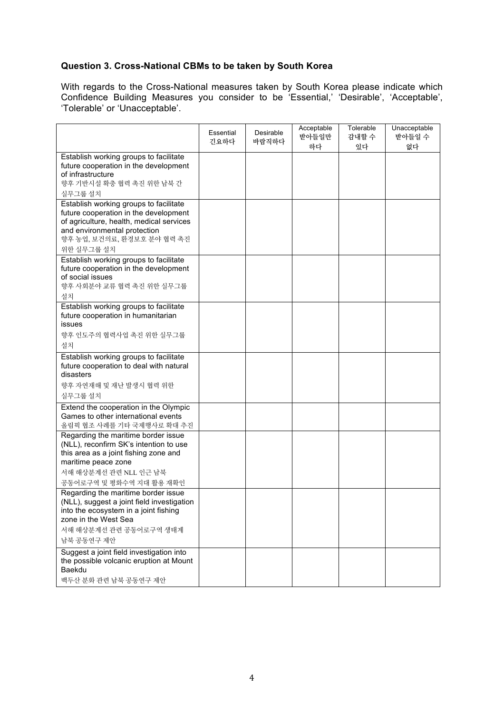# **Question 3. Cross-National CBMs to be taken by South Korea**

With regards to the Cross-National measures taken by South Korea please indicate which Confidence Building Measures you consider to be 'Essential,' 'Desirable', 'Acceptable', 'Tolerable' or 'Unacceptable'.

| Establish working groups to facilitate<br>future cooperation in the development<br>of infrastructure<br>향후 기반시설 확충 협력 촉진 위한 남북 간<br>실무그룹 설치<br>Establish working groups to facilitate<br>future cooperation in the development<br>of agriculture, health, medical services<br>and environmental protection<br>향후 농업, 보건의료, 환경보호 분야 협력 촉진<br>위한 실무그룹 설치<br>Establish working groups to facilitate<br>future cooperation in the development<br>of social issues<br>향후 사회분야 교류 협력 촉진 위한 실무그룹<br>설치<br>Establish working groups to facilitate<br>future cooperation in humanitarian<br>issues<br>향후 인도주의 협력사업 촉진 위한 실무그룹<br>설치<br>Establish working groups to facilitate<br>future cooperation to deal with natural<br>disasters<br>향후 자연재해 및 재난 발생시 협력 위한<br>실무그룹 설치<br>Extend the cooperation in the Olympic<br>Games to other international events<br>올림픽 협조 사례를 기타 국제행사로 확대 추진<br>Regarding the maritime border issue<br>(NLL), reconfirm SK's intention to use<br>this area as a joint fishing zone and<br>maritime peace zone<br>서해 해상분계선 관련 NLL 인근 남북<br>공동어로구역 및 평화수역 지대 활용 재확인<br>Regarding the maritime border issue<br>(NLL), suggest a joint field investigation<br>into the ecosystem in a joint fishing<br>zone in the West Sea<br>서해 해상분계선 관련 공동어로구역 생태계<br>남북 공동연구 제안<br>Suggest a joint field investigation into<br>the possible volcanic eruption at Mount<br>Baekdu<br>백두산 분화 관련 남북 공동연구 제안 | Essential<br>긴요하다 | Desirable<br>바람직하다 | Acceptable<br>받아들일만<br>하다 | Tolerable<br>감내할 수<br>있다 | Unacceptable<br>받아들일 수<br>없다 |
|------------------------------------------------------------------------------------------------------------------------------------------------------------------------------------------------------------------------------------------------------------------------------------------------------------------------------------------------------------------------------------------------------------------------------------------------------------------------------------------------------------------------------------------------------------------------------------------------------------------------------------------------------------------------------------------------------------------------------------------------------------------------------------------------------------------------------------------------------------------------------------------------------------------------------------------------------------------------------------------------------------------------------------------------------------------------------------------------------------------------------------------------------------------------------------------------------------------------------------------------------------------------------------------------------------------------------------------------------------------------------------------------------------|-------------------|--------------------|---------------------------|--------------------------|------------------------------|
|                                                                                                                                                                                                                                                                                                                                                                                                                                                                                                                                                                                                                                                                                                                                                                                                                                                                                                                                                                                                                                                                                                                                                                                                                                                                                                                                                                                                            |                   |                    |                           |                          |                              |
|                                                                                                                                                                                                                                                                                                                                                                                                                                                                                                                                                                                                                                                                                                                                                                                                                                                                                                                                                                                                                                                                                                                                                                                                                                                                                                                                                                                                            |                   |                    |                           |                          |                              |
|                                                                                                                                                                                                                                                                                                                                                                                                                                                                                                                                                                                                                                                                                                                                                                                                                                                                                                                                                                                                                                                                                                                                                                                                                                                                                                                                                                                                            |                   |                    |                           |                          |                              |
|                                                                                                                                                                                                                                                                                                                                                                                                                                                                                                                                                                                                                                                                                                                                                                                                                                                                                                                                                                                                                                                                                                                                                                                                                                                                                                                                                                                                            |                   |                    |                           |                          |                              |
|                                                                                                                                                                                                                                                                                                                                                                                                                                                                                                                                                                                                                                                                                                                                                                                                                                                                                                                                                                                                                                                                                                                                                                                                                                                                                                                                                                                                            |                   |                    |                           |                          |                              |
|                                                                                                                                                                                                                                                                                                                                                                                                                                                                                                                                                                                                                                                                                                                                                                                                                                                                                                                                                                                                                                                                                                                                                                                                                                                                                                                                                                                                            |                   |                    |                           |                          |                              |
|                                                                                                                                                                                                                                                                                                                                                                                                                                                                                                                                                                                                                                                                                                                                                                                                                                                                                                                                                                                                                                                                                                                                                                                                                                                                                                                                                                                                            |                   |                    |                           |                          |                              |
|                                                                                                                                                                                                                                                                                                                                                                                                                                                                                                                                                                                                                                                                                                                                                                                                                                                                                                                                                                                                                                                                                                                                                                                                                                                                                                                                                                                                            |                   |                    |                           |                          |                              |
|                                                                                                                                                                                                                                                                                                                                                                                                                                                                                                                                                                                                                                                                                                                                                                                                                                                                                                                                                                                                                                                                                                                                                                                                                                                                                                                                                                                                            |                   |                    |                           |                          |                              |
|                                                                                                                                                                                                                                                                                                                                                                                                                                                                                                                                                                                                                                                                                                                                                                                                                                                                                                                                                                                                                                                                                                                                                                                                                                                                                                                                                                                                            |                   |                    |                           |                          |                              |
|                                                                                                                                                                                                                                                                                                                                                                                                                                                                                                                                                                                                                                                                                                                                                                                                                                                                                                                                                                                                                                                                                                                                                                                                                                                                                                                                                                                                            |                   |                    |                           |                          |                              |
|                                                                                                                                                                                                                                                                                                                                                                                                                                                                                                                                                                                                                                                                                                                                                                                                                                                                                                                                                                                                                                                                                                                                                                                                                                                                                                                                                                                                            |                   |                    |                           |                          |                              |
|                                                                                                                                                                                                                                                                                                                                                                                                                                                                                                                                                                                                                                                                                                                                                                                                                                                                                                                                                                                                                                                                                                                                                                                                                                                                                                                                                                                                            |                   |                    |                           |                          |                              |
|                                                                                                                                                                                                                                                                                                                                                                                                                                                                                                                                                                                                                                                                                                                                                                                                                                                                                                                                                                                                                                                                                                                                                                                                                                                                                                                                                                                                            |                   |                    |                           |                          |                              |
|                                                                                                                                                                                                                                                                                                                                                                                                                                                                                                                                                                                                                                                                                                                                                                                                                                                                                                                                                                                                                                                                                                                                                                                                                                                                                                                                                                                                            |                   |                    |                           |                          |                              |
|                                                                                                                                                                                                                                                                                                                                                                                                                                                                                                                                                                                                                                                                                                                                                                                                                                                                                                                                                                                                                                                                                                                                                                                                                                                                                                                                                                                                            |                   |                    |                           |                          |                              |
|                                                                                                                                                                                                                                                                                                                                                                                                                                                                                                                                                                                                                                                                                                                                                                                                                                                                                                                                                                                                                                                                                                                                                                                                                                                                                                                                                                                                            |                   |                    |                           |                          |                              |
|                                                                                                                                                                                                                                                                                                                                                                                                                                                                                                                                                                                                                                                                                                                                                                                                                                                                                                                                                                                                                                                                                                                                                                                                                                                                                                                                                                                                            |                   |                    |                           |                          |                              |
|                                                                                                                                                                                                                                                                                                                                                                                                                                                                                                                                                                                                                                                                                                                                                                                                                                                                                                                                                                                                                                                                                                                                                                                                                                                                                                                                                                                                            |                   |                    |                           |                          |                              |
|                                                                                                                                                                                                                                                                                                                                                                                                                                                                                                                                                                                                                                                                                                                                                                                                                                                                                                                                                                                                                                                                                                                                                                                                                                                                                                                                                                                                            |                   |                    |                           |                          |                              |
|                                                                                                                                                                                                                                                                                                                                                                                                                                                                                                                                                                                                                                                                                                                                                                                                                                                                                                                                                                                                                                                                                                                                                                                                                                                                                                                                                                                                            |                   |                    |                           |                          |                              |
|                                                                                                                                                                                                                                                                                                                                                                                                                                                                                                                                                                                                                                                                                                                                                                                                                                                                                                                                                                                                                                                                                                                                                                                                                                                                                                                                                                                                            |                   |                    |                           |                          |                              |
|                                                                                                                                                                                                                                                                                                                                                                                                                                                                                                                                                                                                                                                                                                                                                                                                                                                                                                                                                                                                                                                                                                                                                                                                                                                                                                                                                                                                            |                   |                    |                           |                          |                              |
|                                                                                                                                                                                                                                                                                                                                                                                                                                                                                                                                                                                                                                                                                                                                                                                                                                                                                                                                                                                                                                                                                                                                                                                                                                                                                                                                                                                                            |                   |                    |                           |                          |                              |
|                                                                                                                                                                                                                                                                                                                                                                                                                                                                                                                                                                                                                                                                                                                                                                                                                                                                                                                                                                                                                                                                                                                                                                                                                                                                                                                                                                                                            |                   |                    |                           |                          |                              |
|                                                                                                                                                                                                                                                                                                                                                                                                                                                                                                                                                                                                                                                                                                                                                                                                                                                                                                                                                                                                                                                                                                                                                                                                                                                                                                                                                                                                            |                   |                    |                           |                          |                              |
|                                                                                                                                                                                                                                                                                                                                                                                                                                                                                                                                                                                                                                                                                                                                                                                                                                                                                                                                                                                                                                                                                                                                                                                                                                                                                                                                                                                                            |                   |                    |                           |                          |                              |
|                                                                                                                                                                                                                                                                                                                                                                                                                                                                                                                                                                                                                                                                                                                                                                                                                                                                                                                                                                                                                                                                                                                                                                                                                                                                                                                                                                                                            |                   |                    |                           |                          |                              |
|                                                                                                                                                                                                                                                                                                                                                                                                                                                                                                                                                                                                                                                                                                                                                                                                                                                                                                                                                                                                                                                                                                                                                                                                                                                                                                                                                                                                            |                   |                    |                           |                          |                              |
|                                                                                                                                                                                                                                                                                                                                                                                                                                                                                                                                                                                                                                                                                                                                                                                                                                                                                                                                                                                                                                                                                                                                                                                                                                                                                                                                                                                                            |                   |                    |                           |                          |                              |
|                                                                                                                                                                                                                                                                                                                                                                                                                                                                                                                                                                                                                                                                                                                                                                                                                                                                                                                                                                                                                                                                                                                                                                                                                                                                                                                                                                                                            |                   |                    |                           |                          |                              |
|                                                                                                                                                                                                                                                                                                                                                                                                                                                                                                                                                                                                                                                                                                                                                                                                                                                                                                                                                                                                                                                                                                                                                                                                                                                                                                                                                                                                            |                   |                    |                           |                          |                              |
|                                                                                                                                                                                                                                                                                                                                                                                                                                                                                                                                                                                                                                                                                                                                                                                                                                                                                                                                                                                                                                                                                                                                                                                                                                                                                                                                                                                                            |                   |                    |                           |                          |                              |
|                                                                                                                                                                                                                                                                                                                                                                                                                                                                                                                                                                                                                                                                                                                                                                                                                                                                                                                                                                                                                                                                                                                                                                                                                                                                                                                                                                                                            |                   |                    |                           |                          |                              |
|                                                                                                                                                                                                                                                                                                                                                                                                                                                                                                                                                                                                                                                                                                                                                                                                                                                                                                                                                                                                                                                                                                                                                                                                                                                                                                                                                                                                            |                   |                    |                           |                          |                              |
|                                                                                                                                                                                                                                                                                                                                                                                                                                                                                                                                                                                                                                                                                                                                                                                                                                                                                                                                                                                                                                                                                                                                                                                                                                                                                                                                                                                                            |                   |                    |                           |                          |                              |
|                                                                                                                                                                                                                                                                                                                                                                                                                                                                                                                                                                                                                                                                                                                                                                                                                                                                                                                                                                                                                                                                                                                                                                                                                                                                                                                                                                                                            |                   |                    |                           |                          |                              |
|                                                                                                                                                                                                                                                                                                                                                                                                                                                                                                                                                                                                                                                                                                                                                                                                                                                                                                                                                                                                                                                                                                                                                                                                                                                                                                                                                                                                            |                   |                    |                           |                          |                              |
|                                                                                                                                                                                                                                                                                                                                                                                                                                                                                                                                                                                                                                                                                                                                                                                                                                                                                                                                                                                                                                                                                                                                                                                                                                                                                                                                                                                                            |                   |                    |                           |                          |                              |
|                                                                                                                                                                                                                                                                                                                                                                                                                                                                                                                                                                                                                                                                                                                                                                                                                                                                                                                                                                                                                                                                                                                                                                                                                                                                                                                                                                                                            |                   |                    |                           |                          |                              |
|                                                                                                                                                                                                                                                                                                                                                                                                                                                                                                                                                                                                                                                                                                                                                                                                                                                                                                                                                                                                                                                                                                                                                                                                                                                                                                                                                                                                            |                   |                    |                           |                          |                              |
|                                                                                                                                                                                                                                                                                                                                                                                                                                                                                                                                                                                                                                                                                                                                                                                                                                                                                                                                                                                                                                                                                                                                                                                                                                                                                                                                                                                                            |                   |                    |                           |                          |                              |
|                                                                                                                                                                                                                                                                                                                                                                                                                                                                                                                                                                                                                                                                                                                                                                                                                                                                                                                                                                                                                                                                                                                                                                                                                                                                                                                                                                                                            |                   |                    |                           |                          |                              |
|                                                                                                                                                                                                                                                                                                                                                                                                                                                                                                                                                                                                                                                                                                                                                                                                                                                                                                                                                                                                                                                                                                                                                                                                                                                                                                                                                                                                            |                   |                    |                           |                          |                              |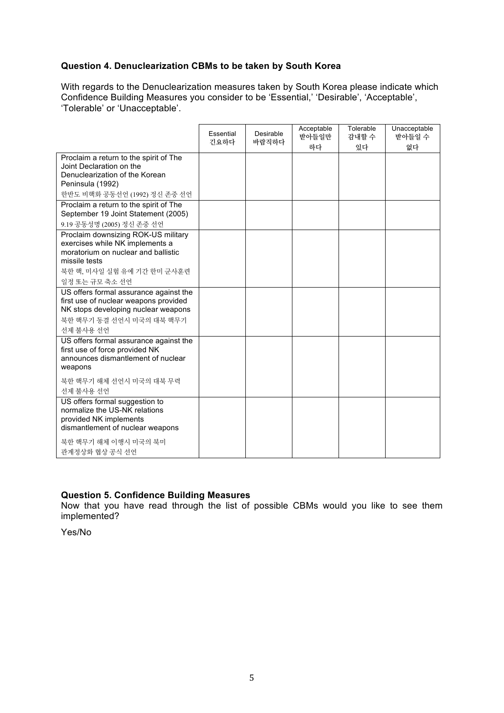### **Question 4. Denuclearization CBMs to be taken by South Korea**

With regards to the Denuclearization measures taken by South Korea please indicate which Confidence Building Measures you consider to be 'Essential,' 'Desirable', 'Acceptable', 'Tolerable' or 'Unacceptable'.

|                                                                                                                                                                                | Essential<br>긴요하다 | Desirable<br>바람직하다 | Acceptable<br>받아들일만<br>하다 | Tolerable<br>감내할 수<br>있다 | Unacceptable<br>받아들일 수<br>없다 |
|--------------------------------------------------------------------------------------------------------------------------------------------------------------------------------|-------------------|--------------------|---------------------------|--------------------------|------------------------------|
| Proclaim a return to the spirit of The<br>Joint Declaration on the<br>Denuclearization of the Korean<br>Peninsula (1992)<br>한반도 비핵화 공동선언 (1992) 정신 존중 선언                       |                   |                    |                           |                          |                              |
| Proclaim a return to the spirit of The<br>September 19 Joint Statement (2005)<br>9.19 공동성명 (2005) 정신 존중 선언                                                                     |                   |                    |                           |                          |                              |
| Proclaim downsizing ROK-US military<br>exercises while NK implements a<br>moratorium on nuclear and ballistic<br>missile tests<br>북한 핵, 미사일 실험 유예 기간 한미 군사훈련<br>일정 또는 규모 축소 선언 |                   |                    |                           |                          |                              |
| US offers formal assurance against the<br>first use of nuclear weapons provided<br>NK stops developing nuclear weapons<br>북한 핵무기 동결 선언시 미국의 대북 핵무기<br>선제 불사용 선언                |                   |                    |                           |                          |                              |
| US offers formal assurance against the<br>first use of force provided NK<br>announces dismantlement of nuclear<br>weapons                                                      |                   |                    |                           |                          |                              |
| 북한 핵무기 해체 선언시 미국의 대북 무력<br>선제 불사용 선언                                                                                                                                           |                   |                    |                           |                          |                              |
| US offers formal suggestion to<br>normalize the US-NK relations<br>provided NK implements<br>dismantlement of nuclear weapons                                                  |                   |                    |                           |                          |                              |
| 북한 핵무기 해체 이행시 미국의 북미<br>관계정상화 협상 공식 선언                                                                                                                                         |                   |                    |                           |                          |                              |

#### **Question 5. Confidence Building Measures**

Now that you have read through the list of possible CBMs would you like to see them implemented?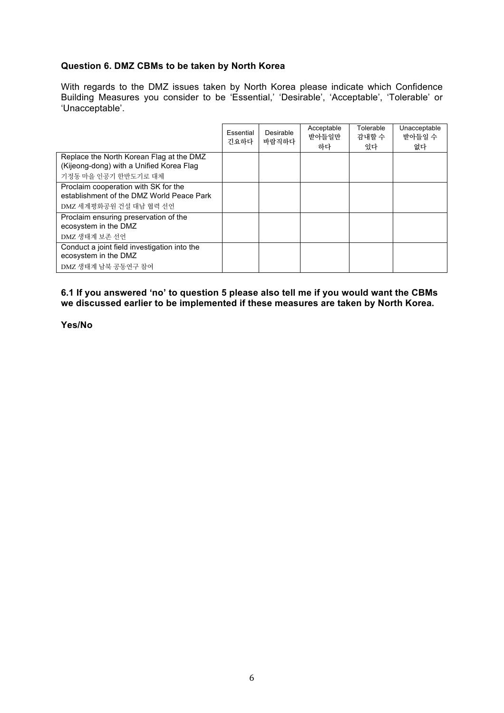#### **Question 6. DMZ CBMs to be taken by North Korea**

With regards to the DMZ issues taken by North Korea please indicate which Confidence Building Measures you consider to be 'Essential,' 'Desirable', 'Acceptable', 'Tolerable' or 'Unacceptable'.

|                                                                                      | Essential<br>긴요하다 | Desirable<br>바람직하다 | Acceptable<br>받아들일만<br>하다 | Tolerable<br>감내할 수<br>있다 | Unacceptable<br>받아들일 수<br>없다 |
|--------------------------------------------------------------------------------------|-------------------|--------------------|---------------------------|--------------------------|------------------------------|
| Replace the North Korean Flag at the DMZ<br>(Kijeong-dong) with a Unified Korea Flag |                   |                    |                           |                          |                              |
| 기정동 마을 인공기 한반도기로 대체                                                                  |                   |                    |                           |                          |                              |
| Proclaim cooperation with SK for the<br>establishment of the DMZ World Peace Park    |                   |                    |                           |                          |                              |
| DMZ 세계평화공원 건설 대남 협력 선언                                                               |                   |                    |                           |                          |                              |
| Proclaim ensuring preservation of the<br>ecosystem in the DMZ                        |                   |                    |                           |                          |                              |
| DMZ 생태계 보존 선언                                                                        |                   |                    |                           |                          |                              |
| Conduct a joint field investigation into the                                         |                   |                    |                           |                          |                              |
| ecosystem in the DMZ                                                                 |                   |                    |                           |                          |                              |
| DMZ 생태계 남북 공동연구 참여                                                                   |                   |                    |                           |                          |                              |

**6.1 If you answered 'no' to question 5 please also tell me if you would want the CBMs we discussed earlier to be implemented if these measures are taken by North Korea.**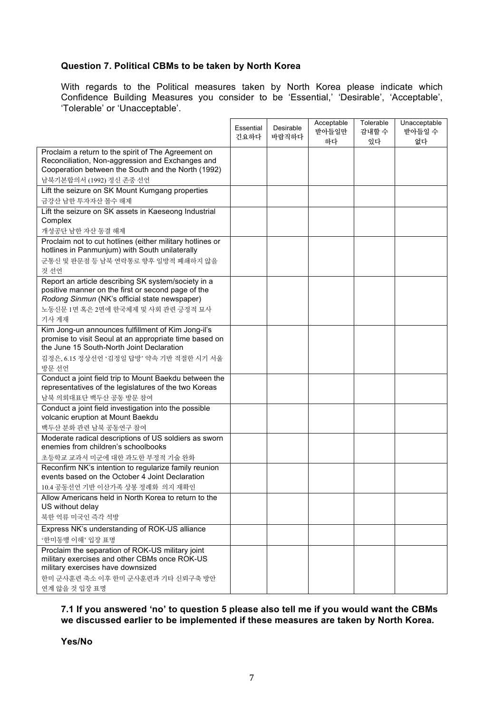### **Question 7. Political CBMs to be taken by North Korea**

With regards to the Political measures taken by North Korea please indicate which Confidence Building Measures you consider to be 'Essential,' 'Desirable', 'Acceptable', 'Tolerable' or 'Unacceptable'.

|                                                                                                          | Essential<br>긴요하다 | Desirable<br>바람직하다 | Acceptable<br>받아들일만<br>하다 | Tolerable<br>감내할 수<br>있다 | Unacceptable<br>받아들일 수<br>없다 |
|----------------------------------------------------------------------------------------------------------|-------------------|--------------------|---------------------------|--------------------------|------------------------------|
| Proclaim a return to the spirit of The Agreement on                                                      |                   |                    |                           |                          |                              |
| Reconciliation, Non-aggression and Exchanges and                                                         |                   |                    |                           |                          |                              |
| Cooperation between the South and the North (1992)                                                       |                   |                    |                           |                          |                              |
| 남북기본합의서 (1992) 정신 존중 선언                                                                                  |                   |                    |                           |                          |                              |
| Lift the seizure on SK Mount Kumgang properties                                                          |                   |                    |                           |                          |                              |
| 금강산 남한 투자자산 몰수 해제                                                                                        |                   |                    |                           |                          |                              |
| Lift the seizure on SK assets in Kaeseong Industrial                                                     |                   |                    |                           |                          |                              |
| Complex                                                                                                  |                   |                    |                           |                          |                              |
| 개성공단 남한 자산 동결 해제<br>Proclaim not to cut hotlines (either military hotlines or                            |                   |                    |                           |                          |                              |
| hotlines in Panmunjum) with South unilaterally                                                           |                   |                    |                           |                          |                              |
| 군통신 및 판문점 등 남북 연락통로 향후 일방적 폐쇄하지 않을                                                                       |                   |                    |                           |                          |                              |
| 것 선언                                                                                                     |                   |                    |                           |                          |                              |
| Report an article describing SK system/society in a                                                      |                   |                    |                           |                          |                              |
| positive manner on the first or second page of the                                                       |                   |                    |                           |                          |                              |
| Rodong Sinmun (NK's official state newspaper)                                                            |                   |                    |                           |                          |                              |
| 노동신문 1면 혹은 2면에 한국체제 및 사회 관련 긍정적 묘사                                                                       |                   |                    |                           |                          |                              |
| 기사 게재                                                                                                    |                   |                    |                           |                          |                              |
| Kim Jong-un announces fulfillment of Kim Jong-il's                                                       |                   |                    |                           |                          |                              |
| promise to visit Seoul at an appropriate time based on<br>the June 15 South-North Joint Declaration      |                   |                    |                           |                          |                              |
|                                                                                                          |                   |                    |                           |                          |                              |
| 김정은, 6.15 정상선언 '김정일 답방' 약속 기반 적절한 시기 서울<br>방문 선언                                                         |                   |                    |                           |                          |                              |
| Conduct a joint field trip to Mount Baekdu between the                                                   |                   |                    |                           |                          |                              |
| representatives of the legislatures of the two Koreas                                                    |                   |                    |                           |                          |                              |
| 남북 의회대표단 백두산 공동 방문 참여                                                                                    |                   |                    |                           |                          |                              |
| Conduct a joint field investigation into the possible                                                    |                   |                    |                           |                          |                              |
| volcanic eruption at Mount Baekdu                                                                        |                   |                    |                           |                          |                              |
| 백두산 분화 관련 남북 공동연구 참여                                                                                     |                   |                    |                           |                          |                              |
| Moderate radical descriptions of US soldiers as sworn                                                    |                   |                    |                           |                          |                              |
| enemies from children's schoolbooks                                                                      |                   |                    |                           |                          |                              |
| 초등학교 교과서 미군에 대한 과도한 부정적 기술 완화                                                                            |                   |                    |                           |                          |                              |
| Reconfirm NK's intention to regularize family reunion<br>events based on the October 4 Joint Declaration |                   |                    |                           |                          |                              |
| 10.4 공동선언 기반 이산가족 상봉 정례화 의지 재확인                                                                          |                   |                    |                           |                          |                              |
| Allow Americans held in North Korea to return to the                                                     |                   |                    |                           |                          |                              |
| US without delay                                                                                         |                   |                    |                           |                          |                              |
| 북한 억류 미국인 즉각 석방                                                                                          |                   |                    |                           |                          |                              |
| Express NK's understanding of ROK-US alliance                                                            |                   |                    |                           |                          |                              |
| '한미동맹 이해' 입장 표명                                                                                          |                   |                    |                           |                          |                              |
| Proclaim the separation of ROK-US military joint                                                         |                   |                    |                           |                          |                              |
| military exercises and other CBMs once ROK-US                                                            |                   |                    |                           |                          |                              |
| military exercises have downsized                                                                        |                   |                    |                           |                          |                              |
| 한미 군사훈련 축소 이후 한미 군사훈련과 기타 신뢰구축 방안                                                                        |                   |                    |                           |                          |                              |
| 연계 않을 것 입장 표명                                                                                            |                   |                    |                           |                          |                              |

#### **7.1 If you answered 'no' to question 5 please also tell me if you would want the CBMs we discussed earlier to be implemented if these measures are taken by North Korea.**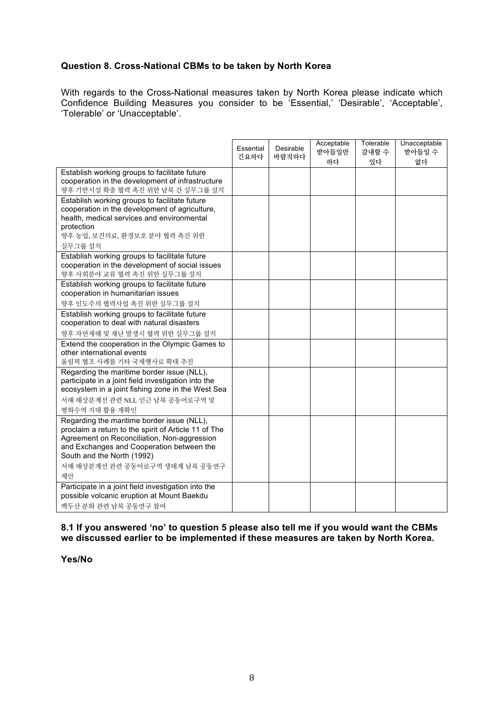### **Question 8. Cross-National CBMs to be taken by North Korea**

With regards to the Cross-National measures taken by North Korea please indicate which Confidence Building Measures you consider to be 'Essential,' 'Desirable', 'Acceptable', 'Tolerable' or 'Unacceptable'.

|                                                                                                                                                                                                                                                                      | Essential<br>긴요하다 | Desirable<br>바람직하다 | Acceptable<br>받아들일만<br>하다 | Tolerable<br>감내할 수<br>있다 | Unacceptable<br>받아들일 수<br>없다 |
|----------------------------------------------------------------------------------------------------------------------------------------------------------------------------------------------------------------------------------------------------------------------|-------------------|--------------------|---------------------------|--------------------------|------------------------------|
| Establish working groups to facilitate future<br>cooperation in the development of infrastructure<br>향후 기반시설 확충 협력 촉진 위한 남북 간 실무그룹 설치                                                                                                                                |                   |                    |                           |                          |                              |
| Establish working groups to facilitate future<br>cooperation in the development of agriculture,<br>health, medical services and environmental<br>protection<br>향후 농업, 보건의료, 환경보호 분야 협력 촉진 위한<br>실무그룹 설치                                                              |                   |                    |                           |                          |                              |
| Establish working groups to facilitate future<br>cooperation in the development of social issues<br>향후 사회분야 교류 협력 촉진 위한 실무그룹 설치                                                                                                                                      |                   |                    |                           |                          |                              |
| Establish working groups to facilitate future<br>cooperation in humanitarian issues<br>향후 인도주의 협력사업 촉진 위한 실무그룹 설치                                                                                                                                                    |                   |                    |                           |                          |                              |
| Establish working groups to facilitate future<br>cooperation to deal with natural disasters<br>향후 자연재해 및 재난 발생시 협력 위한 실무그룹 설치                                                                                                                                        |                   |                    |                           |                          |                              |
| Extend the cooperation in the Olympic Games to<br>other international events<br>올림픽 협조 사례를 기타 국제행사로 확대 추진                                                                                                                                                            |                   |                    |                           |                          |                              |
| Regarding the maritime border issue (NLL),<br>participate in a joint field investigation into the<br>ecosystem in a joint fishing zone in the West Sea<br>서해 해상분계선 관련 NLL 인근 남북 공동어로구역 및<br>평화수역 지대 활용 재확인                                                           |                   |                    |                           |                          |                              |
| Regarding the maritime border issue (NLL),<br>proclaim a return to the spirit of Article 11 of The<br>Agreement on Reconciliation, Non-aggression<br>and Exchanges and Cooperation between the<br>South and the North (1992)<br>서해 해상분계선 관련 공동어로구역 생태계 남북 공동연구<br>제안 |                   |                    |                           |                          |                              |
| Participate in a joint field investigation into the<br>possible volcanic eruption at Mount Baekdu<br>백두산 분화 관련 남북 공동연구 참여                                                                                                                                            |                   |                    |                           |                          |                              |

#### **8.1 If you answered 'no' to question 5 please also tell me if you would want the CBMs we discussed earlier to be implemented if these measures are taken by North Korea.**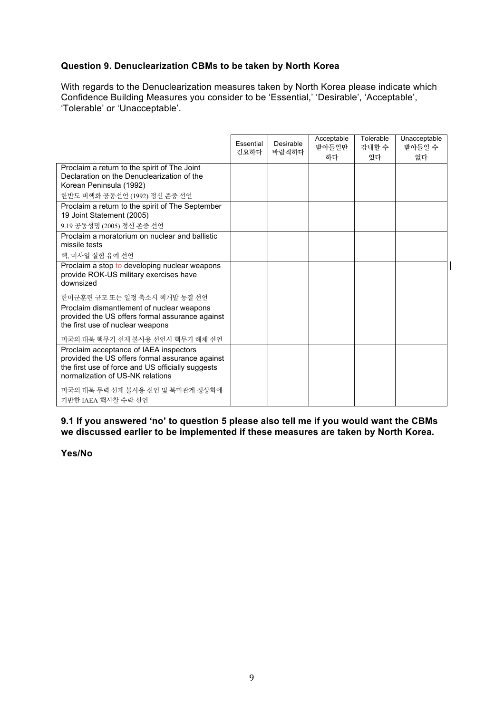## **Question 9. Denuclearization CBMs to be taken by North Korea**

With regards to the Denuclearization measures taken by North Korea please indicate which Confidence Building Measures you consider to be 'Essential,' 'Desirable', 'Acceptable', 'Tolerable' or 'Unacceptable'.

|                                                                                                                                                                                    | Essential<br>긴요하다 | Desirable<br>바람직하다 | Acceptable<br>받아들일만<br>하다 | Tolerable<br>감내할 수<br>있다 | Unacceptable<br>받아들일 수<br>없다 |
|------------------------------------------------------------------------------------------------------------------------------------------------------------------------------------|-------------------|--------------------|---------------------------|--------------------------|------------------------------|
| Proclaim a return to the spirit of The Joint<br>Declaration on the Denuclearization of the<br>Korean Peninsula (1992)                                                              |                   |                    |                           |                          |                              |
| 한반도 비핵화 공동선언 (1992) 정신 존중 선언                                                                                                                                                       |                   |                    |                           |                          |                              |
| Proclaim a return to the spirit of The September<br>19 Joint Statement (2005)                                                                                                      |                   |                    |                           |                          |                              |
| 9.19 공동성명 (2005) 정신 존중 선언                                                                                                                                                          |                   |                    |                           |                          |                              |
| Proclaim a moratorium on nuclear and ballistic<br>missile tests                                                                                                                    |                   |                    |                           |                          |                              |
| 핵, 미사일 실험 유예 선언                                                                                                                                                                    |                   |                    |                           |                          |                              |
| Proclaim a stop to developing nuclear weapons<br>provide ROK-US military exercises have<br>downsized                                                                               |                   |                    |                           |                          |                              |
| 한미군훈련 규모 또는 일정 축소시 핵개발 동결 선언                                                                                                                                                       |                   |                    |                           |                          |                              |
| Proclaim dismantlement of nuclear weapons<br>provided the US offers formal assurance against<br>the first use of nuclear weapons                                                   |                   |                    |                           |                          |                              |
| 미국의 대북 핵무기 선제 불사용 선언시 핵무기 해체 선언                                                                                                                                                    |                   |                    |                           |                          |                              |
| Proclaim acceptance of IAEA inspectors<br>provided the US offers formal assurance against<br>the first use of force and US officially suggests<br>normalization of US-NK relations |                   |                    |                           |                          |                              |
| 미국의 대북 무력 선제 불사용 선언 및 북미관계 정상화에<br>기반한 IAEA 핵사찰 수락 선언                                                                                                                              |                   |                    |                           |                          |                              |

 $\mathbf{I}$ 

**9.1 If you answered 'no' to question 5 please also tell me if you would want the CBMs we discussed earlier to be implemented if these measures are taken by North Korea.**